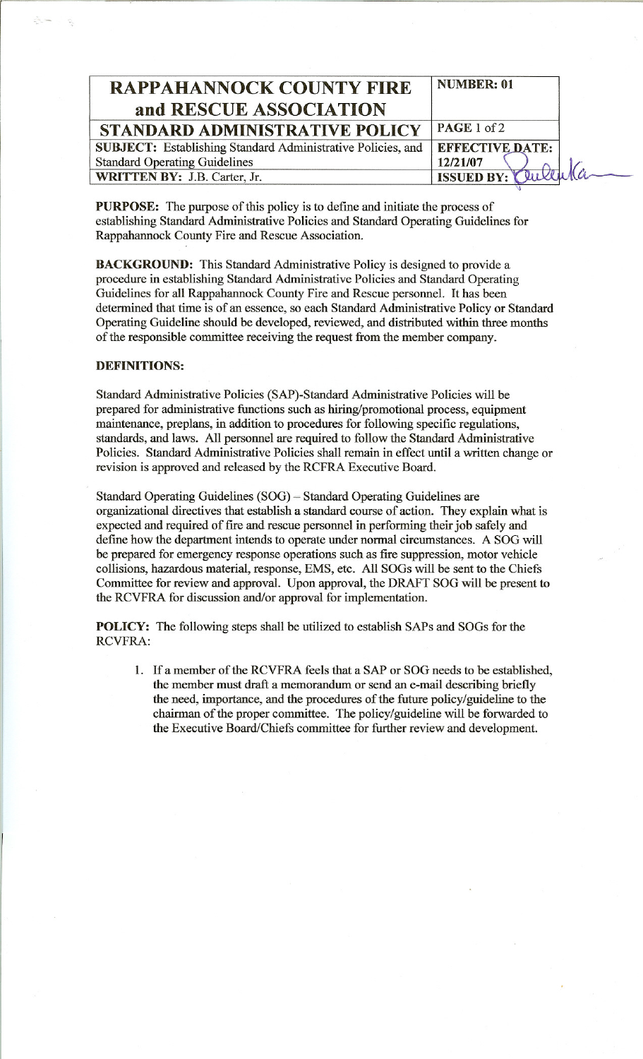| <b>RAPPAHANNOCK COUNTY FIRE</b><br>and RESCUE ASSOCIATION   | <b>NUMBER: 01</b>      |
|-------------------------------------------------------------|------------------------|
| STANDARD ADMINISTRATIVE POLICY                              | PAGE 1 of 2            |
| SUBJECT: Establishing Standard Administrative Policies, and | <b>EFFECTIVE DATE:</b> |
| <b>Standard Operating Guidelines</b>                        | 12/21/07               |
| WRITTEN BY: J.B. Carter, Jr.                                | ISSUED BY: Cultura     |

PURPOSE: The purpose of this policy is to define and initiate the process of establishing Standard Administrative Policies and Standard Operating Guidelines for Rappahannock County Fire and Rescue Association.

BACKGROUND: This Standard Administrative Policy is designed to provide a procedure in establishing Standard Administrative Policies and Standard Operating Guidelines for all Rappahannock County Fire and Rescue personnel. It has been determined that time is of an essence, so each Standard Administrative Policy or Standard Operating Guideline should be developed, reviewed, and distributed within three months of the responsible committee receiving the request from the member company.

## DEFINITIONS:

Standard Administrative Policies (SAP)-Standard Administrative Policies will be prepared for administrative functions such as hiring/promotional process, equipment maintenance, preplans, in addition to procedures for following specific regulations, standards, and laws. All personnel are required to follow the Standard Administrative Policies. Standard Administrative Policies shall remain in effect until a written change or revision is approved and released by the RCFRA Executive Board.

Standard Operating Guidelines (SOG) - Standard Operating Guidelines are organizational directives that establish a standard course of action. They explain what is expected and required of fire and rescue personnel in performing their job safely and define how the department intends to operate under normal circumstances. A SOG will be prepared for emergency response operations such as fire suppression, motor vehicle collisions, hazardous material, response, EMS, etc. All SOGs will be sent to the Chiefs Committee for review and approval. Upon approval, the DRAFT SOG will be present to the RCVFRA for discussion and/or approval for implementation.

POLICY: The following steps shall be utilized to establish SAPs and SOGs for the RCVFRA:

1. If a member of the RCVFRA feels that a SAP or SOG needs to be established, the member must draft a memorandum or send an e-mail describing briefly the need, importance, and the procedures of the future policy/guideline to the chairman of the proper committee. The policy/guideline will be forwarded to the Executive Board/Chiefs committee for further review and development.